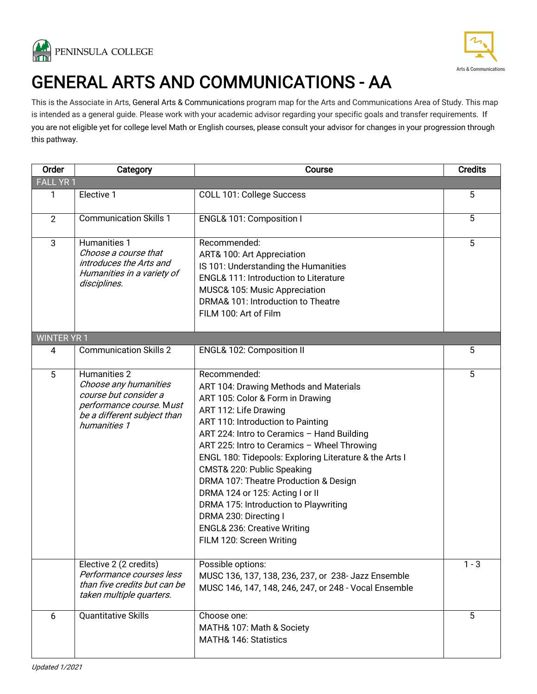



# GENERAL ARTS AND COMMUNICATIONS - AA<br>This is the Associate in Arts, General Arts & Communications program map for the Arts and Communications Area of Study. This map

is intended as a general guide. Please work with your academic advisor regarding your specific goals and transfer requirements. If you are not eligible yet for college level Math or English courses, please consult your advisor for changes in your progression through this pathway.

| Order              | Category                                                                                                                                  | Course                                                                                                                                                                                                                                                                                                                                                                                                                                                                                                                                                            | <b>Credits</b> |
|--------------------|-------------------------------------------------------------------------------------------------------------------------------------------|-------------------------------------------------------------------------------------------------------------------------------------------------------------------------------------------------------------------------------------------------------------------------------------------------------------------------------------------------------------------------------------------------------------------------------------------------------------------------------------------------------------------------------------------------------------------|----------------|
| <b>FALL YR1</b>    |                                                                                                                                           |                                                                                                                                                                                                                                                                                                                                                                                                                                                                                                                                                                   |                |
| 1                  | Elective 1                                                                                                                                | COLL 101: College Success                                                                                                                                                                                                                                                                                                                                                                                                                                                                                                                                         | 5              |
| $\overline{2}$     | <b>Communication Skills 1</b>                                                                                                             | ENGL& 101: Composition I                                                                                                                                                                                                                                                                                                                                                                                                                                                                                                                                          | 5              |
| 3                  | Humanities 1<br>Choose a course that<br>introduces the Arts and<br>Humanities in a variety of<br>disciplines.                             | Recommended:<br>ART& 100: Art Appreciation<br>IS 101: Understanding the Humanities<br><b>ENGL&amp; 111: Introduction to Literature</b><br>MUSC& 105: Music Appreciation<br>DRMA& 101: Introduction to Theatre<br>FILM 100: Art of Film                                                                                                                                                                                                                                                                                                                            | 5              |
| <b>WINTER YR 1</b> |                                                                                                                                           |                                                                                                                                                                                                                                                                                                                                                                                                                                                                                                                                                                   |                |
| 4                  | <b>Communication Skills 2</b>                                                                                                             | ENGL& 102: Composition II                                                                                                                                                                                                                                                                                                                                                                                                                                                                                                                                         | 5              |
| 5                  | Humanities 2<br>Choose any humanities<br>course but consider a<br>performance course. Must<br>be a different subject than<br>humanities 1 | Recommended:<br>ART 104: Drawing Methods and Materials<br>ART 105: Color & Form in Drawing<br>ART 112: Life Drawing<br>ART 110: Introduction to Painting<br>ART 224: Intro to Ceramics - Hand Building<br>ART 225: Intro to Ceramics - Wheel Throwing<br>ENGL 180: Tidepools: Exploring Literature & the Arts I<br>CMST& 220: Public Speaking<br>DRMA 107: Theatre Production & Design<br>DRMA 124 or 125: Acting I or II<br>DRMA 175: Introduction to Playwriting<br>DRMA 230: Directing I<br><b>ENGL&amp; 236: Creative Writing</b><br>FILM 120: Screen Writing | 5              |
|                    | Elective 2 (2 credits)<br>Performance courses less<br>than five credits but can be<br>taken multiple quarters.                            | Possible options:<br>MUSC 136, 137, 138, 236, 237, or 238- Jazz Ensemble<br>MUSC 146, 147, 148, 246, 247, or 248 - Vocal Ensemble                                                                                                                                                                                                                                                                                                                                                                                                                                 | $1 - 3$        |
| $\boldsymbol{6}$   | <b>Quantitative Skills</b>                                                                                                                | Choose one:<br>MATH& 107: Math & Society<br>MATH& 146: Statistics                                                                                                                                                                                                                                                                                                                                                                                                                                                                                                 | $\overline{5}$ |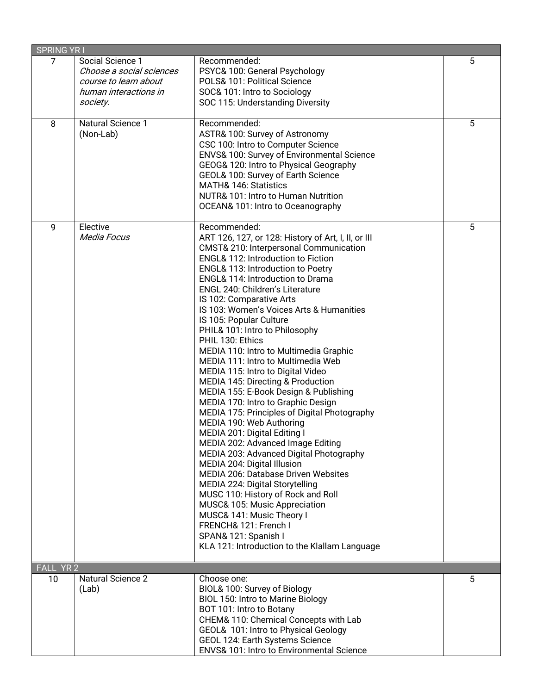| <b>SPRING YRI</b>       |                                                                                                            |                                                                                                                                                                                                                                                                                                                                                                                                                                                                                                                                                                                                                                                                                                                                                                                                                                                                                                                                                                                                                                                                                                                                                                                         |   |
|-------------------------|------------------------------------------------------------------------------------------------------------|-----------------------------------------------------------------------------------------------------------------------------------------------------------------------------------------------------------------------------------------------------------------------------------------------------------------------------------------------------------------------------------------------------------------------------------------------------------------------------------------------------------------------------------------------------------------------------------------------------------------------------------------------------------------------------------------------------------------------------------------------------------------------------------------------------------------------------------------------------------------------------------------------------------------------------------------------------------------------------------------------------------------------------------------------------------------------------------------------------------------------------------------------------------------------------------------|---|
| 7                       | Social Science 1<br>Choose a social sciences<br>course to learn about<br>human interactions in<br>society. | Recommended:<br>PSYC& 100: General Psychology<br>POLS& 101: Political Science<br>SOC& 101: Intro to Sociology<br>SOC 115: Understanding Diversity                                                                                                                                                                                                                                                                                                                                                                                                                                                                                                                                                                                                                                                                                                                                                                                                                                                                                                                                                                                                                                       | 5 |
| 8                       | <b>Natural Science 1</b><br>(Non-Lab)                                                                      | Recommended:<br>ASTR& 100: Survey of Astronomy<br>CSC 100: Intro to Computer Science<br>ENVS& 100: Survey of Environmental Science<br>GEOG& 120: Intro to Physical Geography<br>GEOL& 100: Survey of Earth Science<br>MATH& 146: Statistics<br>NUTR& 101: Intro to Human Nutrition<br>OCEAN& 101: Intro to Oceanography                                                                                                                                                                                                                                                                                                                                                                                                                                                                                                                                                                                                                                                                                                                                                                                                                                                                 | 5 |
| 9                       | Elective<br>Media Focus                                                                                    | Recommended:<br>ART 126, 127, or 128: History of Art, I, II, or III<br>CMST& 210: Interpersonal Communication<br><b>ENGL&amp; 112: Introduction to Fiction</b><br>ENGL& 113: Introduction to Poetry<br>ENGL& 114: Introduction to Drama<br>ENGL 240: Children's Literature<br>IS 102: Comparative Arts<br>IS 103: Women's Voices Arts & Humanities<br>IS 105: Popular Culture<br>PHIL& 101: Intro to Philosophy<br>PHIL 130: Ethics<br>MEDIA 110: Intro to Multimedia Graphic<br>MEDIA 111: Intro to Multimedia Web<br>MEDIA 115: Intro to Digital Video<br>MEDIA 145: Directing & Production<br>MEDIA 155: E-Book Design & Publishing<br>MEDIA 170: Intro to Graphic Design<br>MEDIA 175: Principles of Digital Photography<br>MEDIA 190: Web Authoring<br>MEDIA 201: Digital Editing I<br>MEDIA 202: Advanced Image Editing<br>MEDIA 203: Advanced Digital Photography<br>MEDIA 204: Digital Illusion<br>MEDIA 206: Database Driven Websites<br>MEDIA 224: Digital Storytelling<br>MUSC 110: History of Rock and Roll<br>MUSC& 105: Music Appreciation<br>MUSC& 141: Music Theory I<br>FRENCH& 121: French I<br>SPAN& 121: Spanish I<br>KLA 121: Introduction to the Klallam Language | 5 |
| YR <sub>2</sub><br>FALI |                                                                                                            |                                                                                                                                                                                                                                                                                                                                                                                                                                                                                                                                                                                                                                                                                                                                                                                                                                                                                                                                                                                                                                                                                                                                                                                         |   |
| 10                      | <b>Natural Science 2</b><br>(Lab)                                                                          | Choose one:<br>BIOL& 100: Survey of Biology<br>BIOL 150: Intro to Marine Biology<br>BOT 101: Intro to Botany<br>CHEM& 110: Chemical Concepts with Lab<br>GEOL& 101: Intro to Physical Geology<br>GEOL 124: Earth Systems Science<br>ENVS& 101: Intro to Environmental Science                                                                                                                                                                                                                                                                                                                                                                                                                                                                                                                                                                                                                                                                                                                                                                                                                                                                                                           | 5 |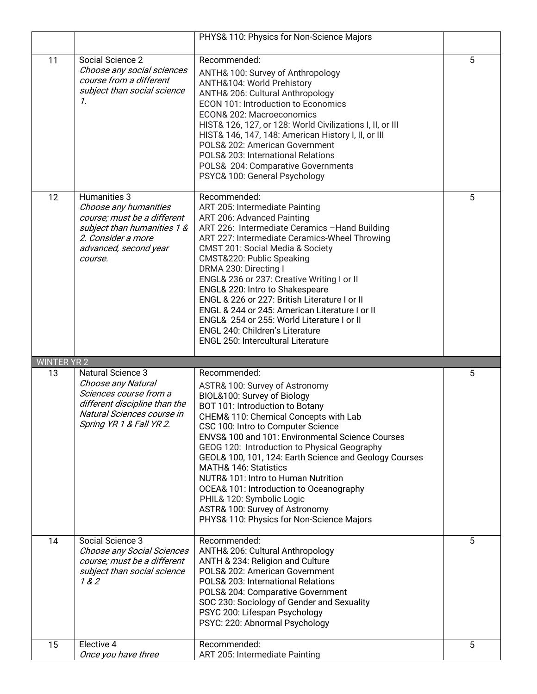|                    |                                                                                                                                                                     | PHYS& 110: Physics for Non-Science Majors                                                                                                                                                                                                                                                                                                                                                                                                                                                                                                                                                             |   |
|--------------------|---------------------------------------------------------------------------------------------------------------------------------------------------------------------|-------------------------------------------------------------------------------------------------------------------------------------------------------------------------------------------------------------------------------------------------------------------------------------------------------------------------------------------------------------------------------------------------------------------------------------------------------------------------------------------------------------------------------------------------------------------------------------------------------|---|
| 11                 | Social Science 2<br>Choose any social sciences<br>course from a different<br>subject than social science<br>$\mathcal{I}$ .                                         | Recommended:<br>ANTH& 100: Survey of Anthropology<br>ANTH&104: World Prehistory<br>ANTH& 206: Cultural Anthropology<br>ECON 101: Introduction to Economics<br>ECON& 202: Macroeconomics<br>HIST& 126, 127, or 128: World Civilizations I, II, or III<br>HIST& 146, 147, 148: American History I, II, or III<br>POLS& 202: American Government<br>POLS& 203: International Relations<br>POLS& 204: Comparative Governments<br>PSYC& 100: General Psychology                                                                                                                                            | 5 |
| 12                 | Humanities 3<br>Choose any humanities<br>course; must be a different<br>subject than humanities 1 &<br>2. Consider a more<br>advanced, second year<br>course.       | Recommended:<br>ART 205: Intermediate Painting<br>ART 206: Advanced Painting<br>ART 226: Intermediate Ceramics -Hand Building<br>ART 227: Intermediate Ceramics-Wheel Throwing<br><b>CMST 201: Social Media &amp; Society</b><br>CMST&220: Public Speaking<br>DRMA 230: Directing I<br>ENGL& 236 or 237: Creative Writing I or II<br>ENGL& 220: Intro to Shakespeare<br>ENGL & 226 or 227: British Literature I or II<br>ENGL & 244 or 245: American Literature I or II<br>ENGL& 254 or 255: World Literature I or II<br>ENGL 240: Children's Literature<br><b>ENGL 250: Intercultural Literature</b> | 5 |
| <b>WINTER YR 2</b> |                                                                                                                                                                     |                                                                                                                                                                                                                                                                                                                                                                                                                                                                                                                                                                                                       |   |
|                    |                                                                                                                                                                     |                                                                                                                                                                                                                                                                                                                                                                                                                                                                                                                                                                                                       |   |
| 13                 | <b>Natural Science 3</b><br>Choose any Natural<br>Sciences course from a<br>different discipline than the<br>Natural Sciences course in<br>Spring YR 1 & Fall YR 2. | Recommended:<br>ASTR& 100: Survey of Astronomy<br>BIOL&100: Survey of Biology<br>BOT 101: Introduction to Botany<br>CHEM& 110: Chemical Concepts with Lab<br>CSC 100: Intro to Computer Science<br>ENVS& 100 and 101: Environmental Science Courses<br>GEOG 120: Introduction to Physical Geography<br>GEOL& 100, 101, 124: Earth Science and Geology Courses<br>MATH& 146: Statistics<br>NUTR& 101: Intro to Human Nutrition<br>OCEA& 101: Introduction to Oceanography<br>PHIL& 120: Symbolic Logic<br>ASTR& 100: Survey of Astronomy<br>PHYS& 110: Physics for Non-Science Majors                  | 5 |
| 14                 | Social Science 3<br>Choose any Social Sciences<br>course; must be a different<br>subject than social science<br>182                                                 | Recommended:<br>ANTH& 206: Cultural Anthropology<br>ANTH & 234: Religion and Culture<br>POLS& 202: American Government<br>POLS& 203: International Relations<br>POLS& 204: Comparative Government<br>SOC 230: Sociology of Gender and Sexuality<br>PSYC 200: Lifespan Psychology<br>PSYC: 220: Abnormal Psychology                                                                                                                                                                                                                                                                                    | 5 |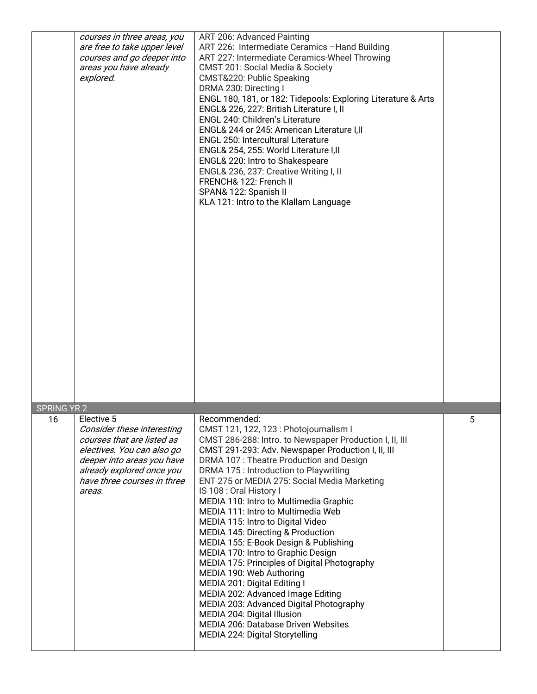|                    | courses in three areas, you<br>are free to take upper level<br>courses and go deeper into<br>areas you have already<br>explored.                                                                         | ART 206: Advanced Painting<br>ART 226: Intermediate Ceramics -Hand Building<br>ART 227: Intermediate Ceramics-Wheel Throwing<br><b>CMST 201: Social Media &amp; Society</b><br>CMST&220: Public Speaking<br>DRMA 230: Directing I<br>ENGL 180, 181, or 182: Tidepools: Exploring Literature & Arts<br>ENGL& 226, 227: British Literature I, II<br>ENGL 240: Children's Literature<br>ENGL& 244 or 245: American Literature I,II<br><b>ENGL 250: Intercultural Literature</b><br>ENGL& 254, 255: World Literature I,II<br>ENGL& 220: Intro to Shakespeare<br>ENGL& 236, 237: Creative Writing I, II<br>FRENCH& 122: French II<br>SPAN& 122: Spanish II<br>KLA 121: Intro to the Klallam Language                                                                                                                                                                                       |   |
|--------------------|----------------------------------------------------------------------------------------------------------------------------------------------------------------------------------------------------------|---------------------------------------------------------------------------------------------------------------------------------------------------------------------------------------------------------------------------------------------------------------------------------------------------------------------------------------------------------------------------------------------------------------------------------------------------------------------------------------------------------------------------------------------------------------------------------------------------------------------------------------------------------------------------------------------------------------------------------------------------------------------------------------------------------------------------------------------------------------------------------------|---|
| <b>SPRING YR 2</b> |                                                                                                                                                                                                          |                                                                                                                                                                                                                                                                                                                                                                                                                                                                                                                                                                                                                                                                                                                                                                                                                                                                                       |   |
| 16                 | Elective 5<br>Consider these interesting<br>courses that are listed as<br>electives. You can also go<br>deeper into areas you have<br>already explored once you<br>have three courses in three<br>areas. | Recommended:<br>CMST 121, 122, 123 : Photojournalism I<br>CMST 286-288: Intro. to Newspaper Production I, II, III<br>CMST 291-293: Adv. Newspaper Production I, II, III<br>DRMA 107: Theatre Production and Design<br>DRMA 175 : Introduction to Playwriting<br>ENT 275 or MEDIA 275: Social Media Marketing<br>IS 108 : Oral History I<br>MEDIA 110: Intro to Multimedia Graphic<br>MEDIA 111: Intro to Multimedia Web<br>MEDIA 115: Intro to Digital Video<br>MEDIA 145: Directing & Production<br>MEDIA 155: E-Book Design & Publishing<br>MEDIA 170: Intro to Graphic Design<br>MEDIA 175: Principles of Digital Photography<br>MEDIA 190: Web Authoring<br>MEDIA 201: Digital Editing I<br>MEDIA 202: Advanced Image Editing<br>MEDIA 203: Advanced Digital Photography<br>MEDIA 204: Digital Illusion<br>MEDIA 206: Database Driven Websites<br>MEDIA 224: Digital Storytelling | 5 |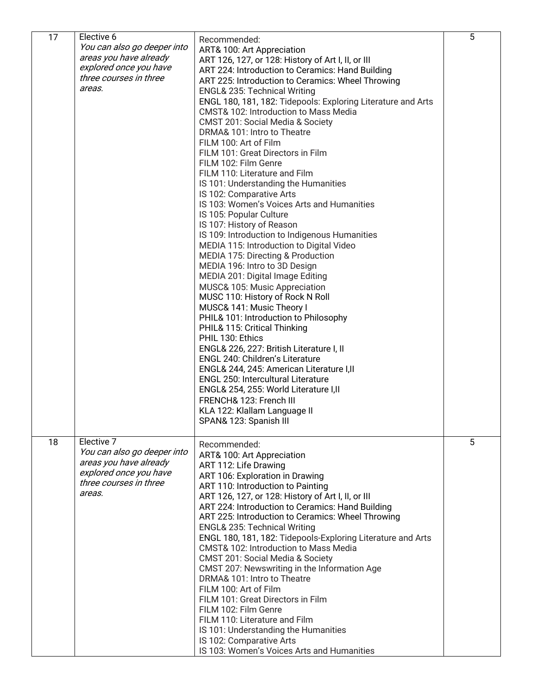| 17 | Elective 6                  | Recommended:                                                 | 5 |
|----|-----------------------------|--------------------------------------------------------------|---|
|    | You can also go deeper into | ART& 100: Art Appreciation                                   |   |
|    | areas you have already      | ART 126, 127, or 128: History of Art I, II, or III           |   |
|    | explored once you have      | ART 224: Introduction to Ceramics: Hand Building             |   |
|    | three courses in three      | ART 225: Introduction to Ceramics: Wheel Throwing            |   |
|    | areas.                      | <b>ENGL&amp; 235: Technical Writing</b>                      |   |
|    |                             | ENGL 180, 181, 182: Tidepools: Exploring Literature and Arts |   |
|    |                             | CMST& 102: Introduction to Mass Media                        |   |
|    |                             | CMST 201: Social Media & Society                             |   |
|    |                             | DRMA& 101: Intro to Theatre                                  |   |
|    |                             | FILM 100: Art of Film                                        |   |
|    |                             | FILM 101: Great Directors in Film                            |   |
|    |                             | FILM 102: Film Genre                                         |   |
|    |                             | FILM 110: Literature and Film                                |   |
|    |                             | IS 101: Understanding the Humanities                         |   |
|    |                             | IS 102: Comparative Arts                                     |   |
|    |                             | IS 103: Women's Voices Arts and Humanities                   |   |
|    |                             | IS 105: Popular Culture                                      |   |
|    |                             | IS 107: History of Reason                                    |   |
|    |                             |                                                              |   |
|    |                             | IS 109: Introduction to Indigenous Humanities                |   |
|    |                             | MEDIA 115: Introduction to Digital Video                     |   |
|    |                             | MEDIA 175: Directing & Production                            |   |
|    |                             | MEDIA 196: Intro to 3D Design                                |   |
|    |                             | MEDIA 201: Digital Image Editing                             |   |
|    |                             | MUSC& 105: Music Appreciation                                |   |
|    |                             | MUSC 110: History of Rock N Roll                             |   |
|    |                             | MUSC& 141: Music Theory I                                    |   |
|    |                             | PHIL& 101: Introduction to Philosophy                        |   |
|    |                             | PHIL& 115: Critical Thinking                                 |   |
|    |                             | PHIL 130: Ethics                                             |   |
|    |                             | ENGL& 226, 227: British Literature I, II                     |   |
|    |                             | ENGL 240: Children's Literature                              |   |
|    |                             | ENGL& 244, 245: American Literature I,II                     |   |
|    |                             | ENGL 250: Intercultural Literature                           |   |
|    |                             | ENGL& 254, 255: World Literature I,II                        |   |
|    |                             | FRENCH& 123: French III                                      |   |
|    |                             | KLA 122: Klallam Language II                                 |   |
|    |                             | SPAN& 123: Spanish III                                       |   |
|    |                             |                                                              |   |
| 18 | Elective 7                  | Recommended:                                                 | 5 |
|    | You can also go deeper into | ART& 100: Art Appreciation                                   |   |
|    | areas you have already      | ART 112: Life Drawing                                        |   |
|    | explored once you have      | ART 106: Exploration in Drawing                              |   |
|    | three courses in three      | ART 110: Introduction to Painting                            |   |
|    | areas.                      | ART 126, 127, or 128: History of Art I, II, or III           |   |
|    |                             | ART 224: Introduction to Ceramics: Hand Building             |   |
|    |                             | ART 225: Introduction to Ceramics: Wheel Throwing            |   |
|    |                             | <b>ENGL&amp; 235: Technical Writing</b>                      |   |
|    |                             | ENGL 180, 181, 182: Tidepools-Exploring Literature and Arts  |   |
|    |                             | <b>CMST&amp; 102: Introduction to Mass Media</b>             |   |
|    |                             | CMST 201: Social Media & Society                             |   |
|    |                             | CMST 207: Newswriting in the Information Age                 |   |
|    |                             | DRMA& 101: Intro to Theatre                                  |   |
|    |                             | FILM 100: Art of Film                                        |   |
|    |                             |                                                              |   |
|    |                             | FILM 101: Great Directors in Film                            |   |
|    |                             | FILM 102: Film Genre                                         |   |
|    |                             | FILM 110: Literature and Film                                |   |
|    |                             | IS 101: Understanding the Humanities                         |   |
|    |                             | IS 102: Comparative Arts                                     |   |
|    |                             | IS 103: Women's Voices Arts and Humanities                   |   |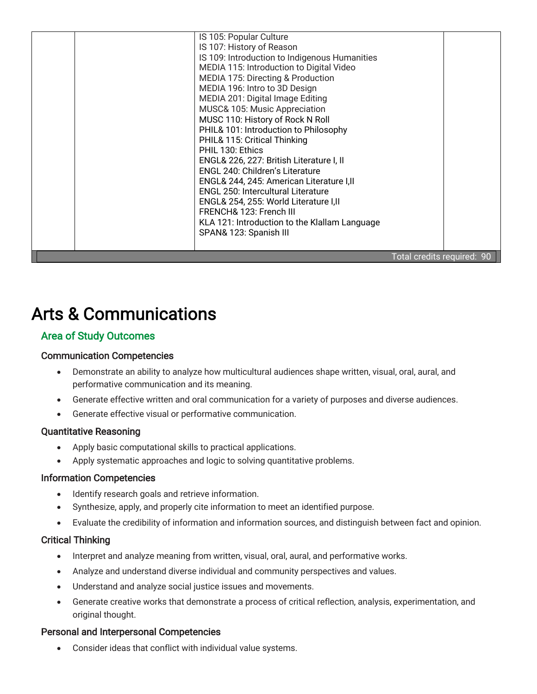|  | IS 105: Popular Culture<br>IS 107: History of Reason<br>IS 109: Introduction to Indigenous Humanities<br>MEDIA 115: Introduction to Digital Video<br>MEDIA 175: Directing & Production<br>MEDIA 196: Intro to 3D Design<br>MEDIA 201: Digital Image Editing<br>MUSC& 105: Music Appreciation<br>MUSC 110: History of Rock N Roll<br>PHIL& 101: Introduction to Philosophy<br>PHIL& 115: Critical Thinking<br>PHIL 130: Ethics<br>ENGL& 226, 227: British Literature I, II<br><b>ENGL 240: Children's Literature</b><br>ENGL& 244, 245: American Literature I, II<br><b>ENGL 250: Intercultural Literature</b><br>ENGL& 254, 255: World Literature I,II<br>FRENCH& 123: French III<br>KLA 121: Introduction to the Klallam Language<br>SPAN& 123: Spanish III |                            |  |
|--|--------------------------------------------------------------------------------------------------------------------------------------------------------------------------------------------------------------------------------------------------------------------------------------------------------------------------------------------------------------------------------------------------------------------------------------------------------------------------------------------------------------------------------------------------------------------------------------------------------------------------------------------------------------------------------------------------------------------------------------------------------------|----------------------------|--|
|  |                                                                                                                                                                                                                                                                                                                                                                                                                                                                                                                                                                                                                                                                                                                                                              | Total credits required: 90 |  |

# Arts & Communications

# Area of Study Outcomes

## Communication Competencies

- Demonstrate an ability to analyze how multicultural audiences shape written, visual, oral, aural, and performative communication and its meaning.
- Generate effective written and oral communication for a variety of purposes and diverse audiences.
- Generate effective visual or performative communication.

## Quantitative Reasoning

- Apply basic computational skills to practical applications.
- Apply systematic approaches and logic to solving quantitative problems.

## Information Competencies

- Identify research goals and retrieve information.
- Synthesize, apply, and properly cite information to meet an identified purpose.
- Evaluate the credibility of information and information sources, and distinguish between fact and opinion.

## Critical Thinking

- Interpret and analyze meaning from written, visual, oral, aural, and performative works.
- Analyze and understand diverse individual and community perspectives and values.
- Understand and analyze social justice issues and movements.
- Generate creative works that demonstrate a process of critical reflection, analysis, experimentation, and original thought.

# Personal and Interpersonal Competencies

• Consider ideas that conflict with individual value systems.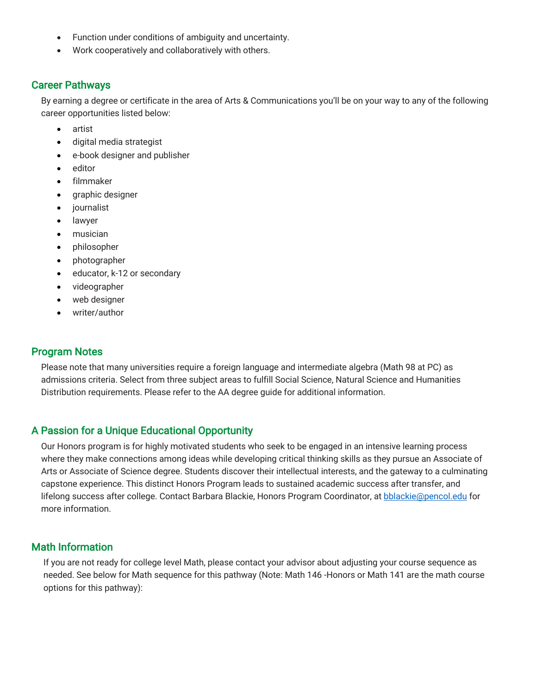- Function under conditions of ambiguity and uncertainty.
- Work cooperatively and collaboratively with others.

#### Career Pathways

By earning a degree or certificate in the area of Arts & Communications you'll be on your way to any of the following career opportunities listed below:

- artist
- digital media strategist
- e-book designer and publisher
- editor
- filmmaker
- graphic designer
- *journalist*
- lawyer
- musician
- philosopher
- photographer
- educator, k-12 or secondary
- videographer
- web designer
- writer/author

## Program Notes

Please note that many universities require a foreign language and intermediate algebra (Math 98 at PC) as admissions criteria. Select from three subject areas to fulfill Social Science, Natural Science and Humanities Distribution requirements. Please refer to the AA degree guide for additional information.

# A Passion for a Unique Educational Opportunity

Our Honors program is for highly motivated students who seek to be engaged in an intensive learning process where they make connections among ideas while developing critical thinking skills as they pursue an Associate of Arts or Associate of Science degree. Students discover their intellectual interests, and the gateway to a culminating capstone experience. This distinct Honors Program leads to sustained academic success after transfer, and lifelong success after college. Contact Barbara Blackie, Honors Program Coordinator, at bblackie@pencol.edu for more information.

# Math Information

If you are not ready for college level Math, please contact your advisor about adjusting your course sequence as needed. See below for Math sequence for this pathway (Note: Math 146 -Honors or Math 141 are the math course options for this pathway):